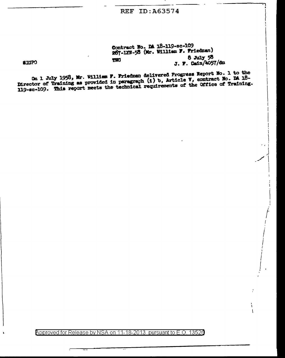## **Contract Wo. Dl lB·ll9•sc-109**  267-1XW-58 (Mr. William F. Friedman) **'1'IO 6 Jul1' 58 J. F. Cain/4057/dm**

 $\sim$  , J  $\left.\rule{0pt}{12pt}\right\}$  $-$  I

 $\mathbf{I}$ 

 $\int$  $\int_{\mathbb{R}^2}$ I ' I  $\int$ *!* 

J I

 $\int_{0}^{L}$ 

**SIGPO** 

**ca. 1 July 1958, Mr. Williem F. Friedman delivered Progress Report No. 1 to the Ca. 1 ambrews of a loss of the**  $\ell$ **on 1 July 1958, Mr. William F. Friedman delivered Progress Report Mo. 1 to the**<br>-Director of Training as provided in paragraph (1) b, Article Y, contract No. DA 18 **11.9.9.4.109. This report meets the technical requirements of the GITICS OF IFMALLING.** 

Approved for Release by NSA on 11-18-2013 pursuant to E.O. 13526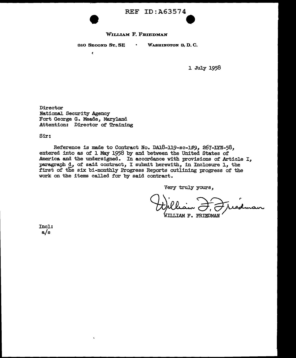

#### WILLIAM F. FRIEDMAN

 $\bullet$ 

310 SECOND ST., SE

 $\epsilon$ 

WASHINGTON 3, D. G.

1 July 1958

e

Director National Security Agency Fort George G. Meade, Maryland Attention: Director of Training

Sir:

Reference is made to Contract No. DA18-119-sc-109, 267-LYN-58, entered into as of l. May 1958 by and between the United States of America and the undersigned. In accordance with provisions of Article I, paragraph d, of said contract, I submit herewith, in Inclosure 1, the first of the six bi-monthly Progress Reports outlining progress of the work on the items called for by said contract.

Very truly yours,

WILLIAM F. FRIEDMAN

Incl.: a/s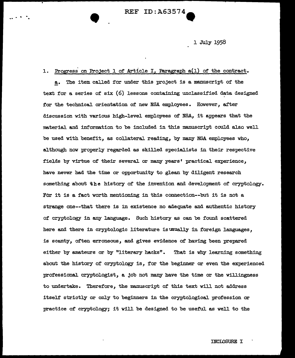$\begin{array}{ccc} \texttt{REF ID: A63574} \end{array}$ 

1 July 1958

## 1. Progress on Project 1 of Article I, Paragraph a(1) of the contract.

a. The item called for under this project is a manuscript of the text for a series of six  $(6)$  lessons containing unclassified data designed for the technical orientation of new NSA employees. However, after discussion with various high-level employees of NSA, it appears that the material and information to be included in this manuscript could also well be used with benefit, as collateral reading, by many NSA employees who, although now properly regarded as skilled specialists in their respective fields by virtue of their several or many years' practical experience, have never had the time or opportunity to glean by diligent research something about the history of the invention and development of cryptology. For it is a fact worth mentioning in this connection--but it is not a strange one--that there is in existence no adequate and authentic history of cryptology in any language. Such history as can be found scattered here and there in cryptologic literature is usually in foreign languages, is scanty, often erroneous, and gives evidence of having been prepared either by amateurs or by "literary hacks". That is why learning something about the history of cryptology is, for the beginner or even tbe experienced :professional. cryptologist, a job not many have the time or the willingness to undertake. Therefore, the manuscript of this text will not address itself strictly or only to beginners in the cryptological profession or practice of cryptology; it will be designed to be useful as well to the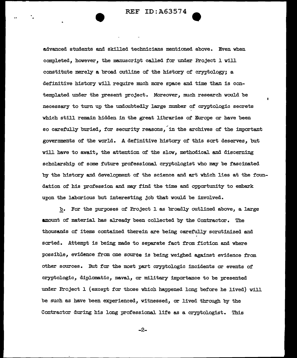advanced students and skilled technicians mentioned above. Even when completed, however, the manuscript called for under Project 1 will constitute merely a broad outline of the history of cryptology; a definitive history will require much more space and time than is contemplated under the present project. Moreover, much research would be necessary to turn up the undoubtedly large number of cryptologic secrets which still remain hidden in the great libraries of Europe or have been so carefully buried, for security reasons, in the archives of the important governments of the world. A definitive history of this sort deserves, but will have to await, the attention of the slow, methodical and discerning scholarship of some future professional cryptologist who may be fascinated by the history and development of the science and art which lies at the foundation of his profession and may find the time and opportunity to embark upon the laborious but interesting job that would be involved.

b. For the purposes of Project l as broadly outlined above, a large amount of material has already been collected by the Contractor. The thousands of items contained therein are being carefulJ.y scrutinized and sorted. Attempt is being made to separate fact from fiction and where possible, evidence from one source is being weighed against evidence from other sources. But for the most part cryptologic incidents or events of cryptologic, diplomatic, naval, or military importance to be presented under Project  $1$  (except for those which happened long before he lived) will be such as have been experienced, witnessed, or lived through by the Contractor during his long professional life as a cryptologist. This

-2-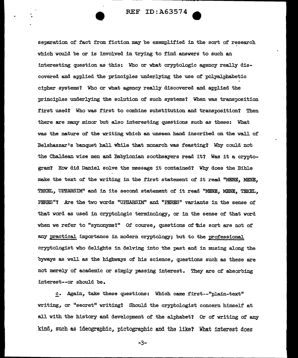separation of fact from fiction may be exemplified in the sort of research which wouJ.d be or is involved in trying to f'ind answers to such an interesting question as this: Who or what cryptologic agency really discovered and applied the principles underlying the use of polyalphabetic cipher systems? Who or what agency really discovered and applied the principles underlying the solution of such systems'? When was transposition first used? Who was first to combine substitution and transposition? Then there are many minor but also interesting questions such as these: What was the nature of' the writing which an unseen hand inscribed on the wall of Belshazzar's banquet hall while that monarch was feasting? Why could not the Chaldean wise men and Babylonian soothsayers read it? Was it a cryptogram? How did Daniel solve the message it contained'l Why does the Bible make the text of the writing in the first statement of it read "MENE, MENE, TEKEL, UPHARSIM" and in its second statement of it read "MENE. MENE. TEKEL, PERES"? Are the two words "UPHARSIM" and "PERES" variants in the sense of that word as used in cryptologic terminology, or in the sense of that word when we refer to "synonyms?" Of course, questions of this sort are not of any practical importance in modern cryptology; but to the professional cryptologist who delights in delving into the past and in musing along the byways as well as the highways of his science, questions such as these are not merely of academic or simply passing interest. They are of absorbing interest--or shouJ.d be.

c. Again, take these questions: Which came first--"plain-text" writing,, or "secret" writing'l Should the cryptologist concern himself at all with the history and development of the alphabet? Or of writing of any kind, such as ideographic, pictographic and the like? What interest does

-3-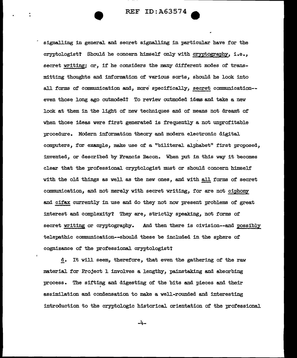signalling in general and secret signalling in particular have for the cryptologist? Should he concern himself only with cryptography. i.e., secret writing; or, if he considers the many different modes of transmitting thoughts and information of various sorts, should he look into all forms of communication and. more specifically, secret communication-even those long ago outmoded? To review outmoded ideas and take a new look at them in the light of new techniques and of means not dreamt of when those ideas were first generated is frequently a not unprofitable procedure. Modern information theory and modern electronic digital computers, for example, make use of a "biliteral alphabet" first proposed. invented, or described by Francis Bacon. When put in this way it becomes clear that the professional cryptologist must or should concern himself with the old things as well as the new ones, and with all forms of secret communication, and not merel.y with secret writing, for are not ciphony and cifax currently in use and do they not now present problems of great interest and complexity? They are, strictly speaking, not forms of secret writing or cryptography. And then there is civision--and possibly telepathic communication--should these be included in the sphere of cognizance of the professional cryptologist?

d. It will seem, therefore, that even the gathering of the raw material for Project 1 involves a lengthy, painstaking and absorbing process. The sifting and digesting of the bits and pieces and their assimilation and condensation to make a well-rounded and interesting introduction to the cryptologic historical orientation of the professional

-4-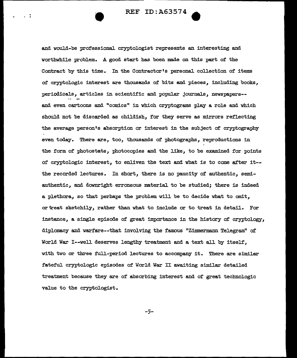and would-be professiona1 cryptologist represents an interesting and worthwhile problem. A good start has been made on this part of the Contract by this time. In the Contractor's personal collection of items of cryptologic interest are thousands of bits and pieces, including books, periodicals, articles in scientific and popular journals, newspapers-and even cartoons and "comics" in which cryptograms play a role and which should not be discarded as childish, for they serve as mirrors reflecting the average person's absorption or interest in the subject of cryptography even today. There are, too, thousands of photographs, reproductions in the form of photostats, photocopies and the like, to be examined for points of cryptologic interest, to enliven the text and what is to come after it- the recorded lectures. In short, there is no paucity of authentic, semiauthentic, and downright erroneous material to be studied; there is indeed a plethora, so that perhaps the problem will be to decide what to omit, or "treat sketchily, rather than what to include or to treat in detail. For instance, a single episode of great importance in the history of cryptology, diplomacy and warfare--that involving the famous "Zimmermann Telegram" of World War I--well deserves lengthy treatment and a text all by itself, with two or three full-period lectures to accompany it. There are similar fateful cryptologic episodes of World War II awaiting similar detailed treatment because they are of absorbing interest and of great technologic value to the cryptologist.

-5-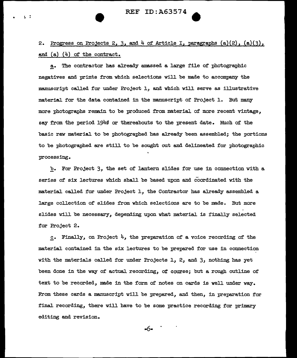•

 $\sqrt{2}$ 

2. Progress on Projects 2, 3, and  $4$  of Article I, paragraphs  $(a)(2)$ ,  $(a)(3)$ , and (a) (4) of the contract.

a. The contractor has already amassed a large file of photographic negatives and prints from which selections will be made to accompany the manuscript called for under Project 1, and which will serve as illustrative material for the data contained in the manuscript of Project 1. But many more photographs remain to be produced from material of more recent vintage, say from the period 1940 or thereabouts to the present date. Much of the basic raw material to be photographed has already been assembled; the portions to be photographed are still to be sought out and delineated for photographic processing.

b. For Project 3, the set of lantern slides for use in connection with a. series of six lectures which shall be based upon and coordinated with the material called for under Project 1, the Contractor has already assembled a large collection of slides from which selections are to be made. But more slides will be necessary, depending upon what material is finally selected for Project 2.

c. Finally, on Project  $4$ , the preparation of a voice recording of the material contained in the six lectures to be prepared for use in connection with the materials called for under Projects 1, 2, and 3, nothing has yet been done in the way of actual recording, of course; but a rough outline of text to be recorded, made in the form of notes on cards is well under way. From these cards a manuscript will be prepared, and then, in preparation for final recording, there will have to be some practice recording for primary editing and revision.

-6-